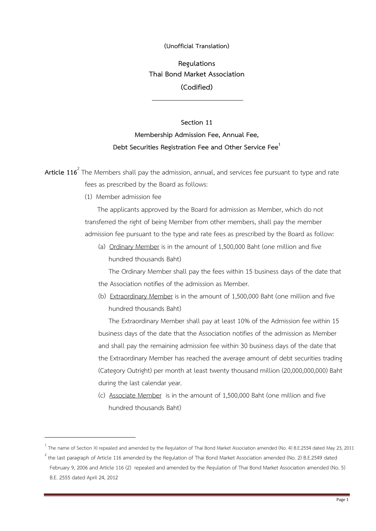## **(Unofficial Translation)**

**Regulations Thai Bond Market Association (Codified)**

## **Section 11 Membership Admission Fee, Annual Fee, Debt Securities Registration Fee and Other Service Fee<sup>1</sup>**

**Article 116**<sup>2</sup> The Members shall pay the admission, annual, and services fee pursuant to type and rate fees as prescribed by the Board as follows:

(1) Member admission fee

<u>.</u>

The applicants approved by the Board for admission as Member, which do not transferred the right of being Member from other members, shall pay the member admission fee pursuant to the type and rate fees as prescribed by the Board as follow:

(a) Ordinary Member is in the amount of 1,500,000 Baht (one million and five hundred thousands Baht)

 The Ordinary Member shall pay the fees within 15 business days of the date that the Association notifies of the admission as Member.

(b) Extraordinary Member is in the amount of 1,500,000 Baht (one million and five hundred thousands Baht)

 The Extraordinary Member shall pay at least 10% of the Admission fee within 15 business days of the date that the Association notifies of the admission as Member and shall pay the remaining admission fee within 30 business days of the date that the Extraordinary Member has reached the average amount of debt securities trading (Category Outright) per month at least twenty thousand million (20,000,000,000) Baht during the last calendar year.

(c) Associate Member is in the amount of 1,500,000 Baht (one million and five hundred thousands Baht)

<sup>&</sup>lt;sup>1</sup> The name of Section XI repealed and amended by the Regulation of Thai Bond Market Association amended (No. 4) B.E.2554 dated May 23, 2011

 $^2$  the last paragraph of Article 116 amended by the Regulation of Thai Bond Market Association amended (No. 2) B.E.2549 dated February 9, 2006 and Article 116 (2) repealed and amended by the Regulation of Thai Bond Market Association amended (No. 5) B.E. 2555 dated April 24, 2012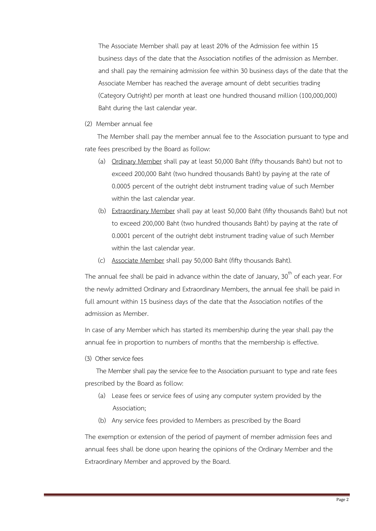The Associate Member shall pay at least 20% of the Admission fee within 15 business days of the date that the Association notifies of the admission as Member. and shall pay the remaining admission fee within 30 business days of the date that the Associate Member has reached the average amount of debt securities trading (Category Outright) per month at least one hundred thousand million (100,000,000) Baht during the last calendar year.

(2) Member annual fee

The Member shall pay the member annual fee to the Association pursuant to type and rate fees prescribed by the Board as follow:

- (a) Ordinary Member shall pay at least 50,000 Baht (fifty thousands Baht) but not to exceed 200,000 Baht (two hundred thousands Baht) by paying at the rate of 0.0005 percent of the outright debt instrument trading value of such Member within the last calendar year.
- (b) Extraordinary Member shall pay at least 50,000 Baht (fifty thousands Baht) but not to exceed 200,000 Baht (two hundred thousands Baht) by paying at the rate of 0.0001 percent of the outright debt instrument trading value of such Member within the last calendar year.
- (c) Associate Member shall pay 50,000 Baht (fifty thousands Baht).

The annual fee shall be paid in advance within the date of January,  $30<sup>th</sup>$  of each year. For the newly admitted Ordinary and Extraordinary Members, the annual fee shall be paid in full amount within 15 business days of the date that the Association notifies of the admission as Member.

In case of any Member which has started its membership during the year shall pay the annual fee in proportion to numbers of months that the membership is effective.

(3) Other service fees

 The Member shall pay the service fee to the Association pursuant to type and rate fees prescribed by the Board as follow:

- (a) Lease fees or service fees of using any computer system provided by the Association;
- (b) Any service fees provided to Members as prescribed by the Board

The exemption or extension of the period of payment of member admission fees and annual fees shall be done upon hearing the opinions of the Ordinary Member and the Extraordinary Member and approved by the Board.